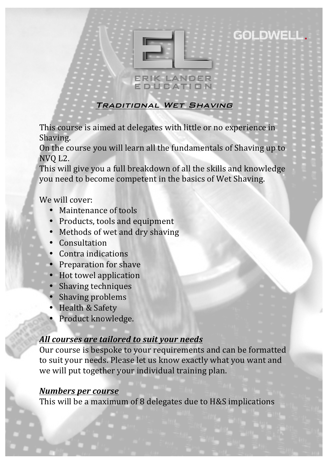

GOLDWELL.

### Traditional Wet Shaving

This course is aimed at delegates with little or no experience in Shaving. 

On the course you will learn all the fundamentals of Shaving up to NVQ L2.

This will give you a full breakdown of all the skills and knowledge you need to become competent in the basics of Wet Shaving.

## We will cover:

- Maintenance of tools
- Products, tools and equipment
- Methods of wet and dry shaving
- Consultation
- Contra indications
- Preparation for shave
- Hot towel application
- Shaving techniques
- Shaving problems
- Health & Safety
- Product knowledge.

# **All courses are tailored to suit your needs**

Our course is bespoke to your requirements and can be formatted to suit your needs. Please let us know exactly what you want and we will put together your individual training plan.

### *Numbers per course*

This will be a maximum of 8 delegates due to H&S implications